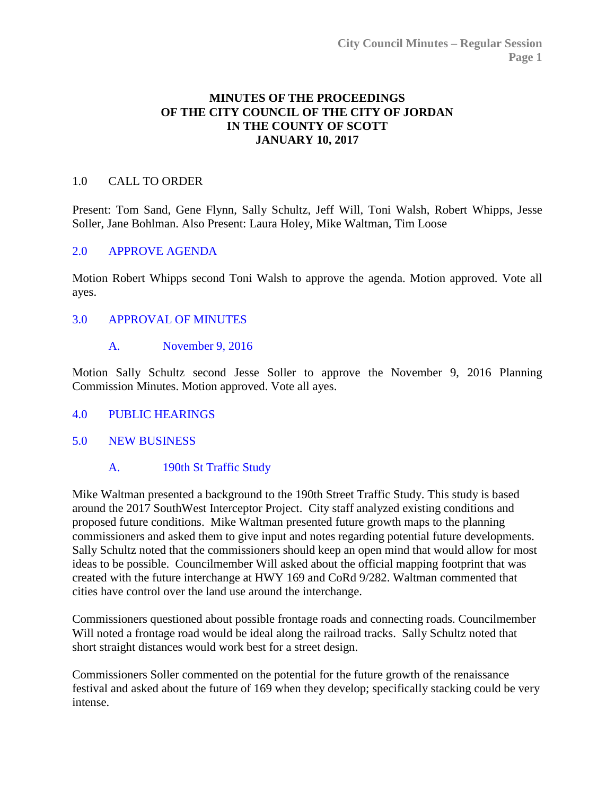## **MINUTES OF THE PROCEEDINGS OF THE CITY COUNCIL OF THE CITY OF JORDAN IN THE COUNTY OF SCOTT JANUARY 10, 2017**

### 1.0 CALL TO ORDER

Present: Tom Sand, Gene Flynn, Sally Schultz, Jeff Will, Toni Walsh, Robert Whipps, Jesse Soller, Jane Bohlman. Also Present: Laura Holey, Mike Waltman, Tim Loose

## 2.0 [APPROVE AGENDA](http://jordan-mn.granicus.com/wordlinkreceiver.php?clip_id=dee45134-22be-4c61-a8a8-95c1ed70886c&meta_id=7d7f6aca-dfe3-488c-b1cb-8dcf549706af&time=198)

Motion Robert Whipps second Toni Walsh to approve the agenda. Motion approved. Vote all ayes.

#### 3.0 [APPROVAL OF MINUTES](http://jordan-mn.granicus.com/wordlinkreceiver.php?clip_id=dee45134-22be-4c61-a8a8-95c1ed70886c&meta_id=b41720c7-a054-49c4-8000-b950fed7520f&time=211)

A. [November 9, 2016](http://jordan-mn.granicus.com/wordlinkreceiver.php?clip_id=dee45134-22be-4c61-a8a8-95c1ed70886c&meta_id=5c42809e-2e7c-458b-8638-4dc7cfd4326f&time=211)

Motion Sally Schultz second Jesse Soller to approve the November 9, 2016 Planning Commission Minutes. Motion approved. Vote all ayes.

#### 4.0 [PUBLIC HEARINGS](http://jordan-mn.granicus.com/wordlinkreceiver.php?clip_id=dee45134-22be-4c61-a8a8-95c1ed70886c&meta_id=5f7b9c95-3a0a-48ba-9e7f-ae0eed367407&time=222)

5.0 [NEW BUSINESS](http://jordan-mn.granicus.com/wordlinkreceiver.php?clip_id=dee45134-22be-4c61-a8a8-95c1ed70886c&meta_id=a47e285a-2e3f-4a34-9661-58980320d559&time=223)

# A. [190th St Traffic Study](http://jordan-mn.granicus.com/wordlinkreceiver.php?clip_id=dee45134-22be-4c61-a8a8-95c1ed70886c&meta_id=ed00eec1-d100-4efd-b930-a869031d2e67&time=223)

Mike Waltman presented a background to the 190th Street Traffic Study. This study is based around the 2017 SouthWest Interceptor Project. City staff analyzed existing conditions and proposed future conditions. Mike Waltman presented future growth maps to the planning commissioners and asked them to give input and notes regarding potential future developments. Sally Schultz noted that the commissioners should keep an open mind that would allow for most ideas to be possible. Councilmember Will asked about the official mapping footprint that was created with the future interchange at HWY 169 and CoRd 9/282. Waltman commented that cities have control over the land use around the interchange.

Commissioners questioned about possible frontage roads and connecting roads. Councilmember Will noted a frontage road would be ideal along the railroad tracks. Sally Schultz noted that short straight distances would work best for a street design.

Commissioners Soller commented on the potential for the future growth of the renaissance festival and asked about the future of 169 when they develop; specifically stacking could be very intense.